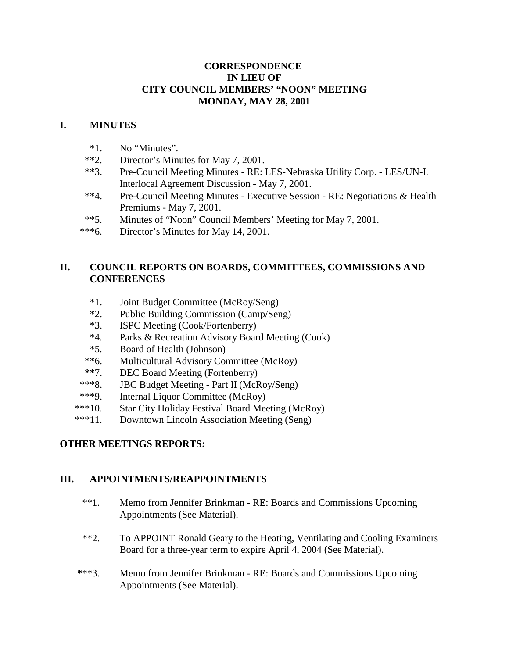## **CORRESPONDENCE IN LIEU OF CITY COUNCIL MEMBERS' "NOON" MEETING MONDAY, MAY 28, 2001**

## **I. MINUTES**

- \*1. No "Minutes".
- \*\*2. Director's Minutes for May 7, 2001.
- \*\*3. Pre-Council Meeting Minutes RE: LES-Nebraska Utility Corp. LES/UN-L Interlocal Agreement Discussion - May 7, 2001.
- \*\*4. Pre-Council Meeting Minutes Executive Session RE: Negotiations & Health Premiums - May 7, 2001.
- \*\*5. Minutes of "Noon" Council Members' Meeting for May 7, 2001.
- \*\*\*6. Director's Minutes for May 14, 2001.

# **II. COUNCIL REPORTS ON BOARDS, COMMITTEES, COMMISSIONS AND CONFERENCES**

- \*1. Joint Budget Committee (McRoy/Seng)
- \*2. Public Building Commission (Camp/Seng)
- \*3. ISPC Meeting (Cook/Fortenberry)
- \*4. Parks & Recreation Advisory Board Meeting (Cook)
- \*5. Board of Health (Johnson)
- \*\*6. Multicultural Advisory Committee (McRoy)
- **\*\***7. DEC Board Meeting (Fortenberry)
- \*\*\*8. JBC Budget Meeting Part II (McRoy/Seng)
- \*\*\*9. Internal Liquor Committee (McRoy)
- \*\*\*10. Star City Holiday Festival Board Meeting (McRoy)
- \*\*\*11. Downtown Lincoln Association Meeting (Seng)

## **OTHER MEETINGS REPORTS:**

## **III. APPOINTMENTS/REAPPOINTMENTS**

- \*\*1. Memo from Jennifer Brinkman RE: Boards and Commissions Upcoming Appointments (See Material).
- \*\*2. To APPOINT Ronald Geary to the Heating, Ventilating and Cooling Examiners Board for a three-year term to expire April 4, 2004 (See Material).
- **\***\*\*3. Memo from Jennifer Brinkman RE: Boards and Commissions Upcoming Appointments (See Material).